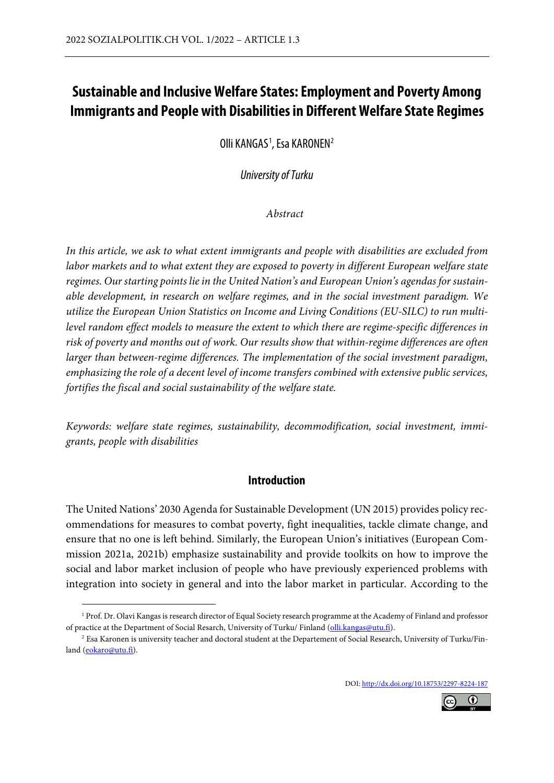# **Sustainable and Inclusive Welfare States: Employment and Poverty Among Immigrants and People with Disabilities in Different Welfare State Regimes**

Olli KANGAS<sup>[1](#page-0-0)</sup>, Esa KARONEN<sup>[2](#page-0-1)</sup>

*University of Turku*

*Abstract*

*In this article, we ask to what extent immigrants and people with disabilities are excluded from labor markets and to what extent they are exposed to poverty in different European welfare state regimes. Our starting points lie in the United Nation's and European Union's agendas for sustainable development, in research on welfare regimes, and in the social investment paradigm. We utilize the European Union Statistics on Income and Living Conditions (EU-SILC) to run multilevel random effect models to measure the extent to which there are regime-specific differences in risk of poverty and months out of work. Our results show that within-regime differences are often larger than between-regime differences. The implementation of the social investment paradigm, emphasizing the role of a decent level of income transfers combined with extensive public services, fortifies the fiscal and social sustainability of the welfare state.*

*Keywords: welfare state regimes, sustainability, decommodification, social investment, immigrants, people with disabilities* 

## **Introduction**

The United Nations' 2030 Agenda for Sustainable Development (UN 2015) provides policy recommendations for measures to combat poverty, fight inequalities, tackle climate change, and ensure that no one is left behind. Similarly, the European Union's initiatives (European Commission 2021a, 2021b) emphasize sustainability and provide toolkits on how to improve the social and labor market inclusion of people who have previously experienced problems with integration into society in general and into the labor market in particular. According to the

DOI: <http://dx.doi.org/10.18753/2297-8224-187>



<span id="page-0-0"></span><sup>&</sup>lt;sup>1</sup> Prof. Dr. Olavi Kangas is research director of Equal Society research programme at the Academy of Finland and professor of practice at the Department of Social Resarch, University of Turku/ Finland [\(olli.kangas@utu.fi\)](mailto:olli.kangas@utu.fi).

<span id="page-0-1"></span><sup>&</sup>lt;sup>2</sup> Esa Karonen is university teacher and doctoral student at the Departement of Social Research, University of Turku/Finland [\(eokaro@utu.fi\)](file://common/Socio/SOPA_TSPS/_COMMON/_SOPA/_Publikationen/sozialpolitik.ch/2022-1/eokaro@utu.fi).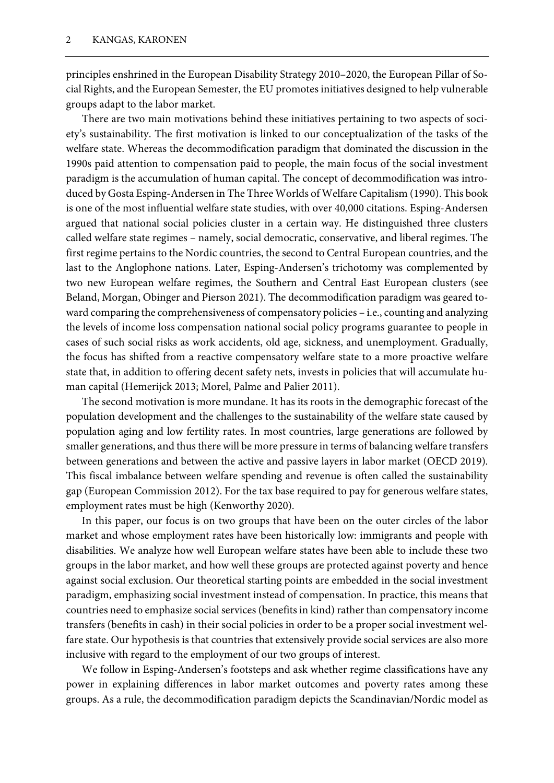principles enshrined in the European Disability Strategy 2010–2020, the European Pillar of Social Rights, and the European Semester, the EU promotes initiatives designed to help vulnerable groups adapt to the labor market.

There are two main motivations behind these initiatives pertaining to two aspects of society's sustainability. The first motivation is linked to our conceptualization of the tasks of the welfare state. Whereas the decommodification paradigm that dominated the discussion in the 1990s paid attention to compensation paid to people, the main focus of the social investment paradigm is the accumulation of human capital. The concept of decommodification was introduced by Gosta Esping-Andersen in The Three Worlds of Welfare Capitalism (1990). This book is one of the most influential welfare state studies, with over 40,000 citations. Esping-Andersen argued that national social policies cluster in a certain way. He distinguished three clusters called welfare state regimes – namely, social democratic, conservative, and liberal regimes. The first regime pertains to the Nordic countries, the second to Central European countries, and the last to the Anglophone nations. Later, Esping-Andersen's trichotomy was complemented by two new European welfare regimes, the Southern and Central East European clusters (see Beland, Morgan, Obinger and Pierson 2021). The decommodification paradigm was geared toward comparing the comprehensiveness of compensatory policies – i.e., counting and analyzing the levels of income loss compensation national social policy programs guarantee to people in cases of such social risks as work accidents, old age, sickness, and unemployment. Gradually, the focus has shifted from a reactive compensatory welfare state to a more proactive welfare state that, in addition to offering decent safety nets, invests in policies that will accumulate human capital (Hemerijck 2013; Morel, Palme and Palier 2011).

The second motivation is more mundane. It has its roots in the demographic forecast of the population development and the challenges to the sustainability of the welfare state caused by population aging and low fertility rates. In most countries, large generations are followed by smaller generations, and thus there will be more pressure in terms of balancing welfare transfers between generations and between the active and passive layers in labor market (OECD 2019). This fiscal imbalance between welfare spending and revenue is often called the sustainability gap (European Commission 2012). For the tax base required to pay for generous welfare states, employment rates must be high (Kenworthy 2020).

In this paper, our focus is on two groups that have been on the outer circles of the labor market and whose employment rates have been historically low: immigrants and people with disabilities. We analyze how well European welfare states have been able to include these two groups in the labor market, and how well these groups are protected against poverty and hence against social exclusion. Our theoretical starting points are embedded in the social investment paradigm, emphasizing social investment instead of compensation. In practice, this means that countries need to emphasize social services (benefits in kind) rather than compensatory income transfers (benefits in cash) in their social policies in order to be a proper social investment welfare state. Our hypothesis is that countries that extensively provide social services are also more inclusive with regard to the employment of our two groups of interest.

We follow in Esping-Andersen's footsteps and ask whether regime classifications have any power in explaining differences in labor market outcomes and poverty rates among these groups. As a rule, the decommodification paradigm depicts the Scandinavian/Nordic model as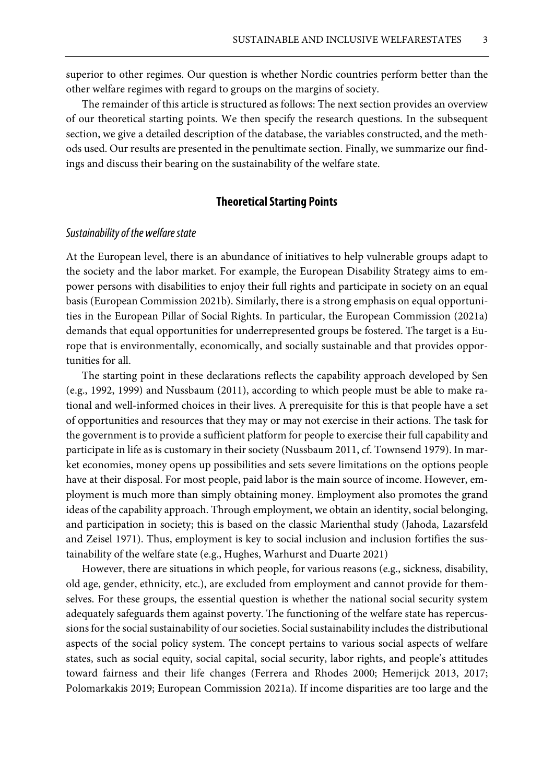superior to other regimes. Our question is whether Nordic countries perform better than the other welfare regimes with regard to groups on the margins of society.

The remainder of this article is structured as follows: The next section provides an overview of our theoretical starting points. We then specify the research questions. In the subsequent section, we give a detailed description of the database, the variables constructed, and the methods used. Our results are presented in the penultimate section. Finally, we summarize our findings and discuss their bearing on the sustainability of the welfare state.

## **Theoretical Starting Points**

## *Sustainability of the welfare state*

At the European level, there is an abundance of initiatives to help vulnerable groups adapt to the society and the labor market. For example, the European Disability Strategy aims to empower persons with disabilities to enjoy their full rights and participate in society on an equal basis (European Commission 2021b). Similarly, there is a strong emphasis on equal opportunities in the European Pillar of Social Rights. In particular, the European Commission (2021a) demands that equal opportunities for underrepresented groups be fostered. The target is a Europe that is environmentally, economically, and socially sustainable and that provides opportunities for all.

The starting point in these declarations reflects the capability approach developed by Sen (e.g., 1992, 1999) and Nussbaum (2011), according to which people must be able to make rational and well-informed choices in their lives. A prerequisite for this is that people have a set of opportunities and resources that they may or may not exercise in their actions. The task for the government is to provide a sufficient platform for people to exercise their full capability and participate in life as is customary in their society (Nussbaum 2011, cf. Townsend 1979). In market economies, money opens up possibilities and sets severe limitations on the options people have at their disposal. For most people, paid labor is the main source of income. However, employment is much more than simply obtaining money. Employment also promotes the grand ideas of the capability approach. Through employment, we obtain an identity, social belonging, and participation in society; this is based on the classic Marienthal study (Jahoda, Lazarsfeld and Zeisel 1971). Thus, employment is key to social inclusion and inclusion fortifies the sustainability of the welfare state (e.g., Hughes, Warhurst and Duarte 2021)

However, there are situations in which people, for various reasons (e.g., sickness, disability, old age, gender, ethnicity, etc.), are excluded from employment and cannot provide for themselves. For these groups, the essential question is whether the national social security system adequately safeguards them against poverty. The functioning of the welfare state has repercussions for the social sustainability of our societies. Social sustainability includes the distributional aspects of the social policy system. The concept pertains to various social aspects of welfare states, such as social equity, social capital, social security, labor rights, and people's attitudes toward fairness and their life changes (Ferrera and Rhodes 2000; Hemerijck 2013, 2017; Polomarkakis 2019; European Commission 2021a). If income disparities are too large and the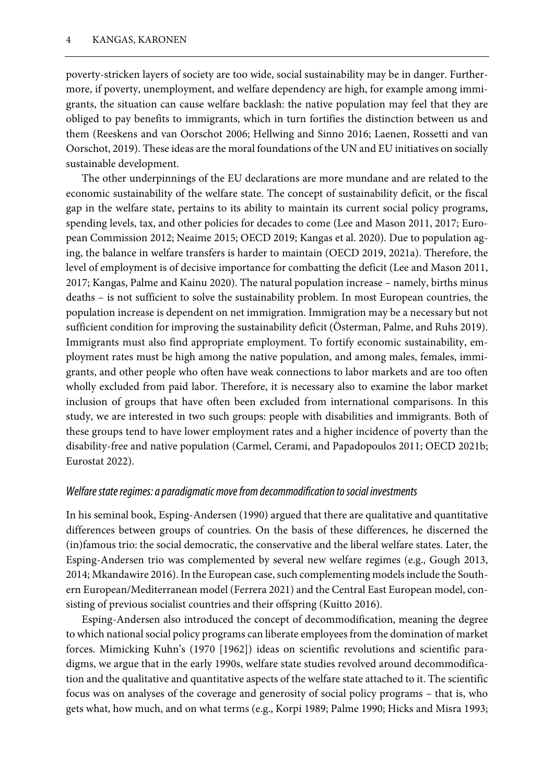poverty-stricken layers of society are too wide, social sustainability may be in danger. Furthermore, if poverty, unemployment, and welfare dependency are high, for example among immigrants, the situation can cause welfare backlash: the native population may feel that they are obliged to pay benefits to immigrants, which in turn fortifies the distinction between us and them (Reeskens and van Oorschot 2006; Hellwing and Sinno 2016; Laenen, Rossetti and van Oorschot, 2019). These ideas are the moral foundations of the UN and EU initiatives on socially sustainable development.

The other underpinnings of the EU declarations are more mundane and are related to the economic sustainability of the welfare state. The concept of sustainability deficit, or the fiscal gap in the welfare state, pertains to its ability to maintain its current social policy programs, spending levels, tax, and other policies for decades to come (Lee and Mason 2011, 2017; European Commission 2012; Neaime 2015; OECD 2019; Kangas et al. 2020). Due to population aging, the balance in welfare transfers is harder to maintain (OECD 2019, 2021a). Therefore, the level of employment is of decisive importance for combatting the deficit (Lee and Mason 2011, 2017; Kangas, Palme and Kainu 2020). The natural population increase – namely, births minus deaths – is not sufficient to solve the sustainability problem. In most European countries, the population increase is dependent on net immigration. Immigration may be a necessary but not sufficient condition for improving the sustainability deficit (Österman, Palme, and Ruhs 2019). Immigrants must also find appropriate employment. To fortify economic sustainability, employment rates must be high among the native population, and among males, females, immigrants, and other people who often have weak connections to labor markets and are too often wholly excluded from paid labor. Therefore, it is necessary also to examine the labor market inclusion of groups that have often been excluded from international comparisons. In this study, we are interested in two such groups: people with disabilities and immigrants. Both of these groups tend to have lower employment rates and a higher incidence of poverty than the disability-free and native population (Carmel, Cerami, and Papadopoulos 2011; OECD 2021b; Eurostat 2022).

## *Welfare state regimes: a paradigmatic move from decommodification to social investments*

In his seminal book, Esping-Andersen (1990) argued that there are qualitative and quantitative differences between groups of countries. On the basis of these differences, he discerned the (in)famous trio: the social democratic, the conservative and the liberal welfare states. Later, the Esping-Andersen trio was complemented by several new welfare regimes (e.g., Gough 2013, 2014; Mkandawire 2016). In the European case, such complementing models include the Southern European/Mediterranean model (Ferrera 2021) and the Central East European model, consisting of previous socialist countries and their offspring (Kuitto 2016).

Esping-Andersen also introduced the concept of decommodification, meaning the degree to which national social policy programs can liberate employees from the domination of market forces. Mimicking Kuhn's (1970 [1962]) ideas on scientific revolutions and scientific paradigms, we argue that in the early 1990s, welfare state studies revolved around decommodification and the qualitative and quantitative aspects of the welfare state attached to it. The scientific focus was on analyses of the coverage and generosity of social policy programs – that is, who gets what, how much, and on what terms (e.g., Korpi 1989; Palme 1990; Hicks and Misra 1993;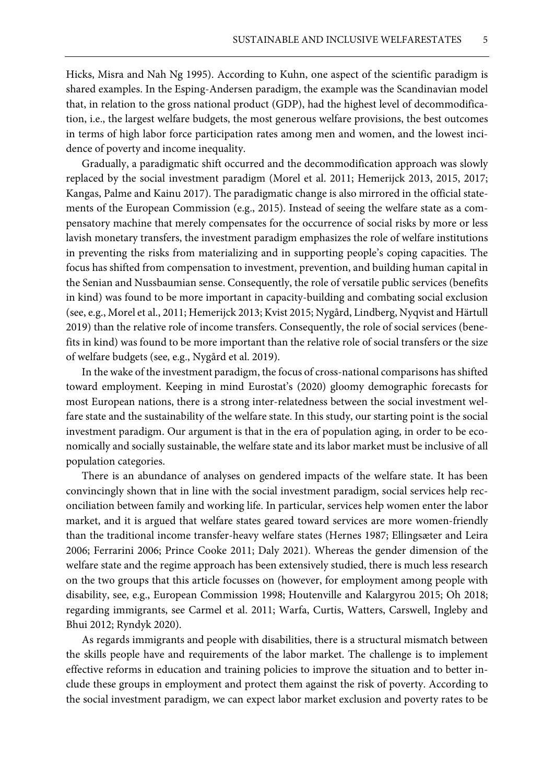Hicks, Misra and Nah Ng 1995). According to Kuhn, one aspect of the scientific paradigm is shared examples. In the Esping-Andersen paradigm, the example was the Scandinavian model that, in relation to the gross national product (GDP), had the highest level of decommodification, i.e., the largest welfare budgets, the most generous welfare provisions, the best outcomes in terms of high labor force participation rates among men and women, and the lowest incidence of poverty and income inequality.

Gradually, a paradigmatic shift occurred and the decommodification approach was slowly replaced by the social investment paradigm (Morel et al. 2011; Hemerijck 2013, 2015, 2017; Kangas, Palme and Kainu 2017). The paradigmatic change is also mirrored in the official statements of the European Commission (e.g., 2015). Instead of seeing the welfare state as a compensatory machine that merely compensates for the occurrence of social risks by more or less lavish monetary transfers, the investment paradigm emphasizes the role of welfare institutions in preventing the risks from materializing and in supporting people's coping capacities. The focus has shifted from compensation to investment, prevention, and building human capital in the Senian and Nussbaumian sense. Consequently, the role of versatile public services (benefits in kind) was found to be more important in capacity-building and combating social exclusion (see, e.g., Morel et al., 2011; Hemerijck 2013; Kvist 2015; Nygård, Lindberg, Nyqvist and Härtull 2019) than the relative role of income transfers. Consequently, the role of social services (benefits in kind) was found to be more important than the relative role of social transfers or the size of welfare budgets (see, e.g., Nygård et al. 2019).

In the wake of the investment paradigm, the focus of cross-national comparisons has shifted toward employment. Keeping in mind Eurostat's (2020) gloomy demographic forecasts for most European nations, there is a strong inter-relatedness between the social investment welfare state and the sustainability of the welfare state. In this study, our starting point is the social investment paradigm. Our argument is that in the era of population aging, in order to be economically and socially sustainable, the welfare state and its labor market must be inclusive of all population categories.

There is an abundance of analyses on gendered impacts of the welfare state. It has been convincingly shown that in line with the social investment paradigm, social services help reconciliation between family and working life. In particular, services help women enter the labor market, and it is argued that welfare states geared toward services are more women-friendly than the traditional income transfer-heavy welfare states (Hernes 1987; Ellingsæter and Leira 2006; Ferrarini 2006; Prince Cooke 2011; Daly 2021). Whereas the gender dimension of the welfare state and the regime approach has been extensively studied, there is much less research on the two groups that this article focusses on (however, for employment among people with disability, see, e.g., European Commission 1998; Houtenville and Kalargyrou 2015; Oh 2018; regarding immigrants, see Carmel et al. 2011; Warfa, Curtis, Watters, Carswell, Ingleby and Bhui 2012; Ryndyk 2020).

As regards immigrants and people with disabilities, there is a structural mismatch between the skills people have and requirements of the labor market. The challenge is to implement effective reforms in education and training policies to improve the situation and to better include these groups in employment and protect them against the risk of poverty. According to the social investment paradigm, we can expect labor market exclusion and poverty rates to be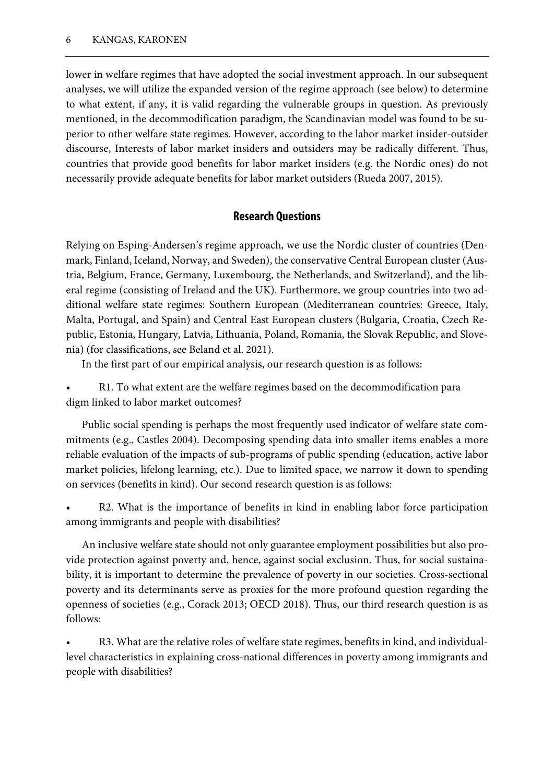lower in welfare regimes that have adopted the social investment approach. In our subsequent analyses, we will utilize the expanded version of the regime approach (see below) to determine to what extent, if any, it is valid regarding the vulnerable groups in question. As previously mentioned, in the decommodification paradigm, the Scandinavian model was found to be superior to other welfare state regimes. However, according to the labor market insider-outsider discourse, Interests of labor market insiders and outsiders may be radically different. Thus, countries that provide good benefits for labor market insiders (e.g. the Nordic ones) do not necessarily provide adequate benefits for labor market outsiders (Rueda 2007, 2015).

## **Research Questions**

Relying on Esping-Andersen's regime approach, we use the Nordic cluster of countries (Denmark, Finland, Iceland, Norway, and Sweden), the conservative Central European cluster (Austria, Belgium, France, Germany, Luxembourg, the Netherlands, and Switzerland), and the liberal regime (consisting of Ireland and the UK). Furthermore, we group countries into two additional welfare state regimes: Southern European (Mediterranean countries: Greece, Italy, Malta, Portugal, and Spain) and Central East European clusters (Bulgaria, Croatia, Czech Republic, Estonia, Hungary, Latvia, Lithuania, Poland, Romania, the Slovak Republic, and Slovenia) (for classifications, see Beland et al. 2021).

In the first part of our empirical analysis, our research question is as follows:

• R1. To what extent are the welfare regimes based on the decommodification para digm linked to labor market outcomes?

Public social spending is perhaps the most frequently used indicator of welfare state commitments (e.g., Castles 2004). Decomposing spending data into smaller items enables a more reliable evaluation of the impacts of sub-programs of public spending (education, active labor market policies, lifelong learning, etc.). Due to limited space, we narrow it down to spending on services (benefits in kind). Our second research question is as follows:

R2. What is the importance of benefits in kind in enabling labor force participation among immigrants and people with disabilities?

An inclusive welfare state should not only guarantee employment possibilities but also provide protection against poverty and, hence, against social exclusion. Thus, for social sustainability, it is important to determine the prevalence of poverty in our societies. Cross-sectional poverty and its determinants serve as proxies for the more profound question regarding the openness of societies (e.g., Corack 2013; OECD 2018). Thus, our third research question is as follows:

R3. What are the relative roles of welfare state regimes, benefits in kind, and individuallevel characteristics in explaining cross-national differences in poverty among immigrants and people with disabilities?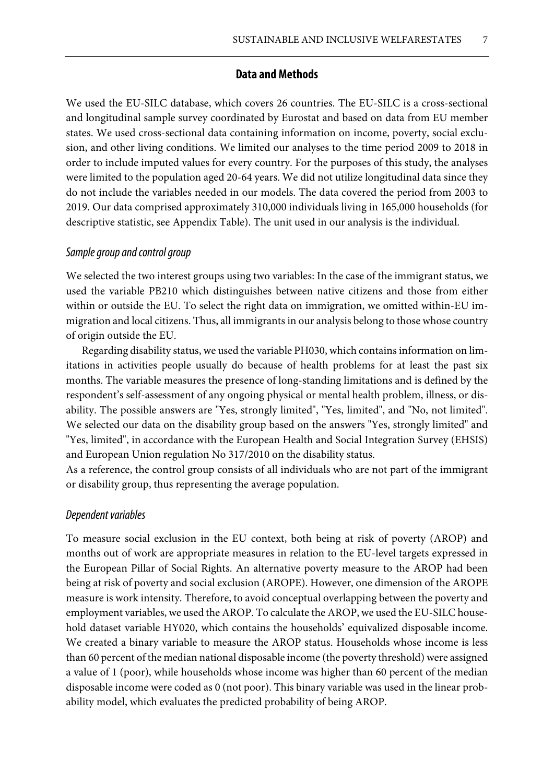## **Data and Methods**

We used the EU-SILC database, which covers 26 countries. The EU-SILC is a cross-sectional and longitudinal sample survey coordinated by Eurostat and based on data from EU member states. We used cross-sectional data containing information on income, poverty, social exclusion, and other living conditions. We limited our analyses to the time period 2009 to 2018 in order to include imputed values for every country. For the purposes of this study, the analyses were limited to the population aged 20-64 years. We did not utilize longitudinal data since they do not include the variables needed in our models. The data covered the period from 2003 to 2019. Our data comprised approximately 310,000 individuals living in 165,000 households (for descriptive statistic, see Appendix Table). The unit used in our analysis is the individual.

### *Sample group and control group*

We selected the two interest groups using two variables: In the case of the immigrant status, we used the variable PB210 which distinguishes between native citizens and those from either within or outside the EU. To select the right data on immigration, we omitted within-EU immigration and local citizens. Thus, all immigrants in our analysis belong to those whose country of origin outside the EU.

Regarding disability status, we used the variable PH030, which contains information on limitations in activities people usually do because of health problems for at least the past six months. The variable measures the presence of long-standing limitations and is defined by the respondent's self-assessment of any ongoing physical or mental health problem, illness, or disability. The possible answers are "Yes, strongly limited", "Yes, limited", and "No, not limited". We selected our data on the disability group based on the answers "Yes, strongly limited" and "Yes, limited", in accordance with the European Health and Social Integration Survey (EHSIS) and European Union regulation No 317/2010 on the disability status.

As a reference, the control group consists of all individuals who are not part of the immigrant or disability group, thus representing the average population.

## *Dependent variables*

To measure social exclusion in the EU context, both being at risk of poverty (AROP) and months out of work are appropriate measures in relation to the EU-level targets expressed in the European Pillar of Social Rights. An alternative poverty measure to the AROP had been being at risk of poverty and social exclusion (AROPE). However, one dimension of the AROPE measure is work intensity. Therefore, to avoid conceptual overlapping between the poverty and employment variables, we used the AROP. To calculate the AROP, we used the EU-SILC household dataset variable HY020, which contains the households' equivalized disposable income. We created a binary variable to measure the AROP status. Households whose income is less than 60 percent of the median national disposable income (the poverty threshold) were assigned a value of 1 (poor), while households whose income was higher than 60 percent of the median disposable income were coded as 0 (not poor). This binary variable was used in the linear probability model, which evaluates the predicted probability of being AROP.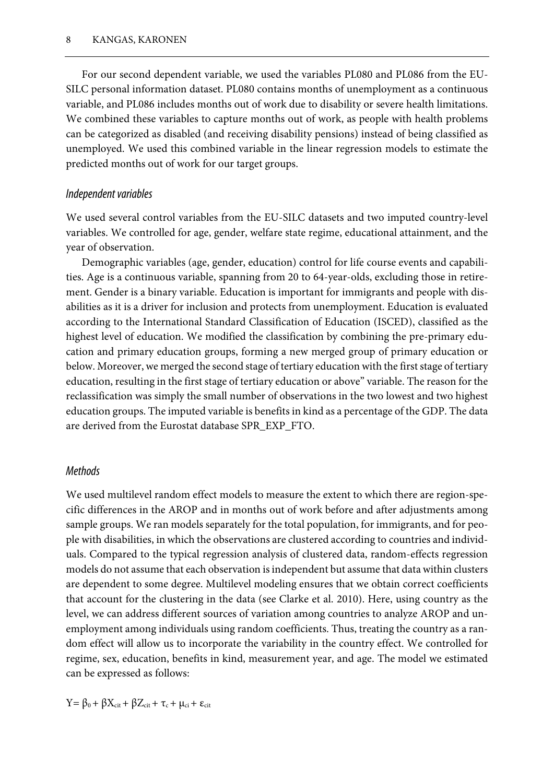For our second dependent variable, we used the variables PL080 and PL086 from the EU-SILC personal information dataset. PL080 contains months of unemployment as a continuous variable, and PL086 includes months out of work due to disability or severe health limitations. We combined these variables to capture months out of work, as people with health problems can be categorized as disabled (and receiving disability pensions) instead of being classified as unemployed. We used this combined variable in the linear regression models to estimate the predicted months out of work for our target groups.

### *Independent variables*

We used several control variables from the EU-SILC datasets and two imputed country-level variables. We controlled for age, gender, welfare state regime, educational attainment, and the year of observation.

Demographic variables (age, gender, education) control for life course events and capabilities. Age is a continuous variable, spanning from 20 to 64-year-olds, excluding those in retirement. Gender is a binary variable. Education is important for immigrants and people with disabilities as it is a driver for inclusion and protects from unemployment. Education is evaluated according to the International Standard Classification of Education (ISCED), classified as the highest level of education. We modified the classification by combining the pre-primary education and primary education groups, forming a new merged group of primary education or below. Moreover, we merged the second stage of tertiary education with the first stage of tertiary education, resulting in the first stage of tertiary education or above" variable. The reason for the reclassification was simply the small number of observations in the two lowest and two highest education groups. The imputed variable is benefits in kind as a percentage of the GDP. The data are derived from the Eurostat database SPR\_EXP\_FTO.

#### *Methods*

We used multilevel random effect models to measure the extent to which there are region-specific differences in the AROP and in months out of work before and after adjustments among sample groups. We ran models separately for the total population, for immigrants, and for people with disabilities, in which the observations are clustered according to countries and individuals. Compared to the typical regression analysis of clustered data, random-effects regression models do not assume that each observation is independent but assume that data within clusters are dependent to some degree. Multilevel modeling ensures that we obtain correct coefficients that account for the clustering in the data (see Clarke et al. 2010). Here, using country as the level, we can address different sources of variation among countries to analyze AROP and unemployment among individuals using random coefficients. Thus, treating the country as a random effect will allow us to incorporate the variability in the country effect. We controlled for regime, sex, education, benefits in kind, measurement year, and age. The model we estimated can be expressed as follows:

 $Y = \beta_0 + \beta X_{\text{cit}} + \beta Z_{\text{cit}} + \tau_c + \mu_{\text{ci}} + \varepsilon_{\text{cit}}$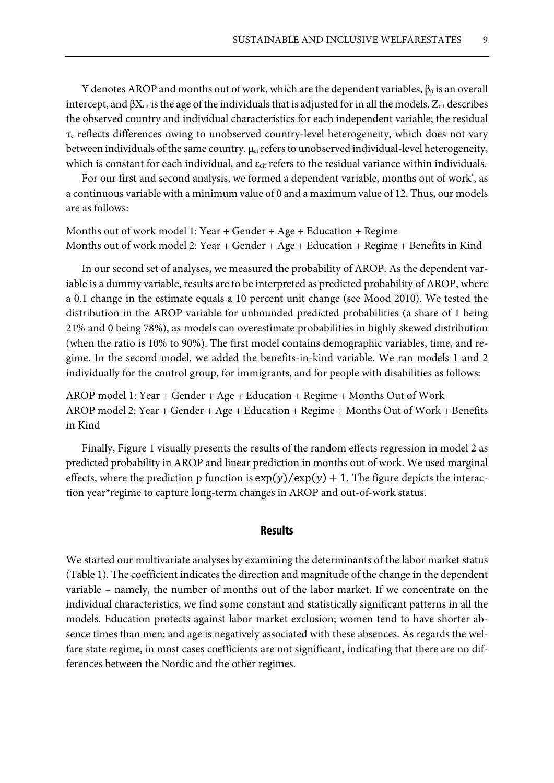Y denotes AROP and months out of work, which are the dependent variables,  $\beta_0$  is an overall intercept, and  $\beta X_{\text{cit}}$  is the age of the individuals that is adjusted for in all the models.  $Z_{\text{cit}}$  describes the observed country and individual characteristics for each independent variable; the residual  $\tau_c$  reflects differences owing to unobserved country-level heterogeneity, which does not vary between individuals of the same country.  $\mu_{ci}$  refers to unobserved individual-level heterogeneity, which is constant for each individual, and  $\varepsilon_{\text{cit}}$  refers to the residual variance within individuals.

For our first and second analysis, we formed a dependent variable, months out of work', as a continuous variable with a minimum value of 0 and a maximum value of 12. Thus, our models are as follows:

Months out of work model 1: Year + Gender + Age + Education + Regime Months out of work model 2: Year + Gender + Age + Education + Regime + Benefits in Kind

In our second set of analyses, we measured the probability of AROP. As the dependent variable is a dummy variable, results are to be interpreted as predicted probability of AROP, where a 0.1 change in the estimate equals a 10 percent unit change (see Mood 2010). We tested the distribution in the AROP variable for unbounded predicted probabilities (a share of 1 being 21% and 0 being 78%), as models can overestimate probabilities in highly skewed distribution (when the ratio is 10% to 90%). The first model contains demographic variables, time, and regime. In the second model, we added the benefits-in-kind variable. We ran models 1 and 2 individually for the control group, for immigrants, and for people with disabilities as follows:

AROP model 1: Year + Gender + Age + Education + Regime + Months Out of Work AROP model 2: Year + Gender + Age + Education + Regime + Months Out of Work + Benefits in Kind

Finally, Figure 1 visually presents the results of the random effects regression in model 2 as predicted probability in AROP and linear prediction in months out of work. We used marginal effects, where the prediction p function is  $\exp(y)/\exp(y) + 1$ . The figure depicts the interaction year\*regime to capture long-term changes in AROP and out-of-work status.

## **Results**

We started our multivariate analyses by examining the determinants of the labor market status (Table 1). The coefficient indicates the direction and magnitude of the change in the dependent variable – namely, the number of months out of the labor market. If we concentrate on the individual characteristics, we find some constant and statistically significant patterns in all the models. Education protects against labor market exclusion; women tend to have shorter absence times than men; and age is negatively associated with these absences. As regards the welfare state regime, in most cases coefficients are not significant, indicating that there are no differences between the Nordic and the other regimes.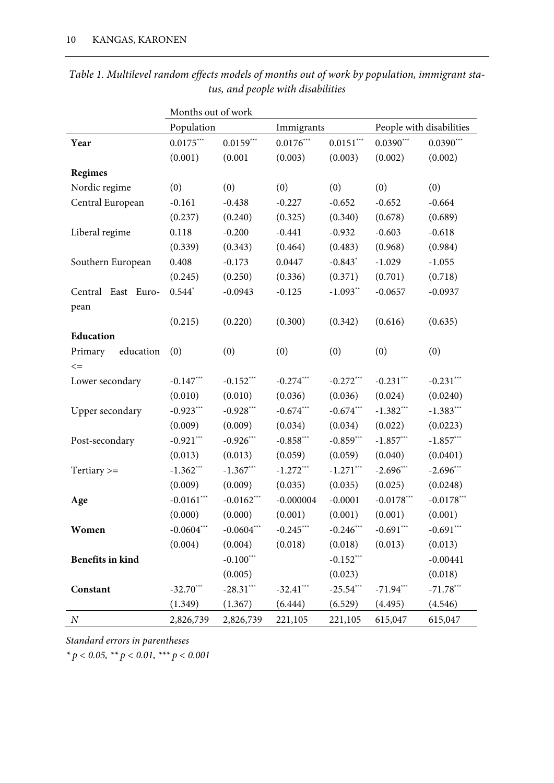|                         | Months out of work |              |             |                       |                          |              |  |  |
|-------------------------|--------------------|--------------|-------------|-----------------------|--------------------------|--------------|--|--|
|                         | Population         | Immigrants   |             |                       | People with disabilities |              |  |  |
| Year                    | $0.0175***$        | $0.0159***$  | $0.0176***$ | $0.0151***$           | $0.0390***$              | $0.0390***$  |  |  |
|                         | (0.001)            | (0.001)      | (0.003)     | (0.003)               | (0.002)                  | (0.002)      |  |  |
| <b>Regimes</b>          |                    |              |             |                       |                          |              |  |  |
| Nordic regime           | (0)                | (0)          | (0)         | (0)                   | (0)                      | (0)          |  |  |
| Central European        | $-0.161$           | $-0.438$     | $-0.227$    | $-0.652$              | $-0.652$                 | $-0.664$     |  |  |
|                         | (0.237)            | (0.240)      | (0.325)     | (0.340)               | (0.678)                  | (0.689)      |  |  |
| Liberal regime          | 0.118              | $-0.200$     | $-0.441$    | $-0.932$              | $-0.603$                 | $-0.618$     |  |  |
|                         | (0.339)            | (0.343)      | (0.464)     | (0.483)               | (0.968)                  | (0.984)      |  |  |
| Southern European       | 0.408              | $-0.173$     | 0.0447      | $-0.843$ <sup>*</sup> | $-1.029$                 | $-1.055$     |  |  |
|                         | (0.245)            | (0.250)      | (0.336)     | (0.371)               | (0.701)                  | (0.718)      |  |  |
| Central East Euro-      | $0.544*$           | $-0.0943$    | $-0.125$    | $-1.093**$            | $-0.0657$                | $-0.0937$    |  |  |
| pean                    |                    |              |             |                       |                          |              |  |  |
|                         | (0.215)            | (0.220)      | (0.300)     | (0.342)               | (0.616)                  | (0.635)      |  |  |
| Education               |                    |              |             |                       |                          |              |  |  |
| education<br>Primary    | (0)                | (0)          | (0)         | (0)                   | (0)                      | (0)          |  |  |
| $\mathrel{<=}$          |                    |              |             |                       |                          |              |  |  |
| Lower secondary         | $-0.147***$        | $-0.152***$  | $-0.274***$ | $-0.272***$           | $-0.231***$              | $-0.231***$  |  |  |
|                         | (0.010)            | (0.010)      | (0.036)     | (0.036)               | (0.024)                  | (0.0240)     |  |  |
| Upper secondary         | $-0.923***$        | $-0.928***$  | $-0.674***$ | $-0.674***$           | $-1.382***$              | $-1.383***$  |  |  |
|                         | (0.009)            | (0.009)      | (0.034)     | (0.034)               | (0.022)                  | (0.0223)     |  |  |
| Post-secondary          | $-0.921***$        | $-0.926***$  | $-0.858***$ | $-0.859***$           | $-1.857***$              | $-1.857***$  |  |  |
|                         | (0.013)            | (0.013)      | (0.059)     | (0.059)               | (0.040)                  | (0.0401)     |  |  |
| Tertiary $>=$           | $-1.362***$        | $-1.367***$  | $-1.272***$ | $-1.271***$           | $-2.696***$              | $-2.696***$  |  |  |
|                         | (0.009)            | (0.009)      | (0.035)     | (0.035)               | (0.025)                  | (0.0248)     |  |  |
| Age                     | $-0.0161***$       | $-0.0162***$ | $-0.000004$ | $-0.0001$             | $-0.0178***$             | $-0.0178***$ |  |  |
|                         | (0.000)            | (0.000)      | (0.001)     | (0.001)               | (0.001)                  | (0.001)      |  |  |
| Women                   | $-0.0604***$       | $-0.0604***$ | $-0.245***$ | $-0.246***$           | $-0.691***$              | $-0.691***$  |  |  |
|                         | (0.004)            | (0.004)      | (0.018)     | (0.018)               | (0.013)                  | (0.013)      |  |  |
| <b>Benefits in kind</b> |                    | $-0.100***$  |             | $-0.152***$           |                          | $-0.00441$   |  |  |
|                         |                    | (0.005)      |             | (0.023)               |                          | (0.018)      |  |  |
| Constant                | $-32.70***$        | $-28.31***$  | $-32.41***$ | $-25.54***$           | $-71.94***$              | $-71.78***$  |  |  |
|                         | (1.349)            | (1.367)      | (6.444)     | (6.529)               | (4.495)                  | (4.546)      |  |  |
| $\boldsymbol{N}$        | 2,826,739          | 2,826,739    | 221,105     | 221,105               | 615,047                  | 615,047      |  |  |

## *Table 1. Multilevel random effects models of months out of work by population, immigrant status, and people with disabilities*

*Standard errors in parentheses*

*\* p < 0.05, \*\* p < 0.01, \*\*\* p < 0.001*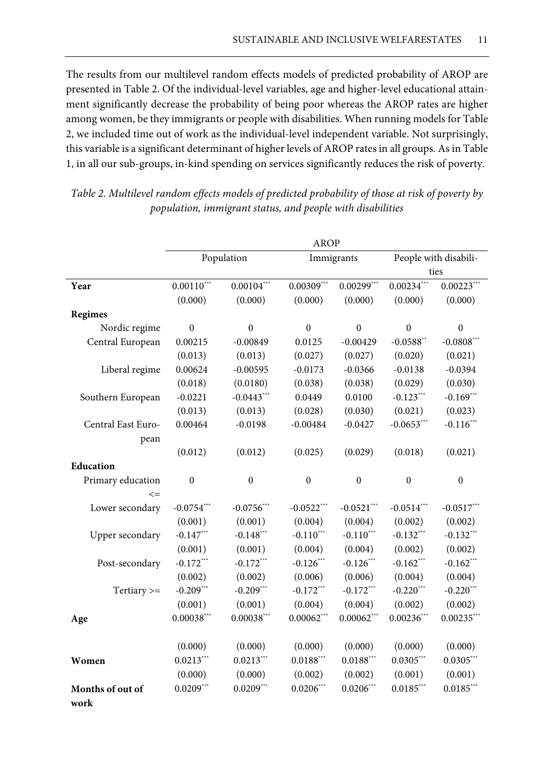The results from our multilevel random effects models of predicted probability of AROP are presented in Table 2. Of the individual-level variables, age and higher-level educational attainment significantly decrease the probability of being poor whereas the AROP rates are higher among women, be they immigrants or people with disabilities. When running models for Table 2, we included time out of work as the individual-level independent variable. Not surprisingly, this variable is a significant determinant of higher levels of AROP rates in all groups. As in Table 1, in all our sub-groups, in-kind spending on services significantly reduces the risk of poverty.

|                    | <b>AROP</b>      |                  |                  |                  |                               |                  |  |  |
|--------------------|------------------|------------------|------------------|------------------|-------------------------------|------------------|--|--|
|                    | Population       |                  |                  | Immigrants       | People with disabili-<br>ties |                  |  |  |
|                    |                  |                  |                  |                  |                               |                  |  |  |
| Year               | $0.00110***$     | $0.00104***$     | $0.00309***$     | $0.00299***$     | $0.00234***$                  | $0.00223***$     |  |  |
|                    | (0.000)          | (0.000)          | (0.000)          | (0.000)          | (0.000)                       | (0.000)          |  |  |
| Regimes            |                  |                  |                  |                  |                               |                  |  |  |
| Nordic regime      | $\boldsymbol{0}$ | $\boldsymbol{0}$ | $\boldsymbol{0}$ | $\boldsymbol{0}$ | $\boldsymbol{0}$              | $\boldsymbol{0}$ |  |  |
| Central European   | 0.00215          | $-0.00849$       | 0.0125           | $-0.00429$       | $-0.0588**$                   | $-0.0808***$     |  |  |
|                    | (0.013)          | (0.013)          | (0.027)          | (0.027)          | (0.020)                       | (0.021)          |  |  |
| Liberal regime     | 0.00624          | $-0.00595$       | $-0.0173$        | $-0.0366$        | $-0.0138$                     | $-0.0394$        |  |  |
|                    | (0.018)          | (0.0180)         | (0.038)          | (0.038)          | (0.029)                       | (0.030)          |  |  |
| Southern European  | $-0.0221$        | $-0.0443***$     | 0.0449           | 0.0100           | $-0.123***$                   | $-0.169***$      |  |  |
|                    | (0.013)          | (0.013)          | (0.028)          | (0.030)          | (0.021)                       | (0.023)          |  |  |
| Central East Euro- | 0.00464          | $-0.0198$        | $-0.00484$       | $-0.0427$        | $-0.0653***$                  | $-0.116***$      |  |  |
| pean               |                  |                  |                  |                  |                               |                  |  |  |
|                    | (0.012)          | (0.012)          | (0.025)          | (0.029)          | (0.018)                       | (0.021)          |  |  |
| Education          |                  |                  |                  |                  |                               |                  |  |  |
| Primary education  | $\boldsymbol{0}$ | $\boldsymbol{0}$ | $\boldsymbol{0}$ | $\boldsymbol{0}$ | $\boldsymbol{0}$              | $\boldsymbol{0}$ |  |  |
| $\leq$             |                  |                  |                  |                  |                               |                  |  |  |
| Lower secondary    | $-0.0754***$     | $-0.0756***$     | $-0.0522***$     | $-0.0521***$     | $-0.0514***$                  | $-0.0517***$     |  |  |
|                    | (0.001)          | (0.001)          | (0.004)          | (0.004)          | (0.002)                       | (0.002)          |  |  |
| Upper secondary    | $-0.147***$      | $-0.148***$      | $-0.110***$      | $-0.110***$      | $-0.132***$                   | $-0.132***$      |  |  |
|                    | (0.001)          | (0.001)          | (0.004)          | (0.004)          | (0.002)                       | (0.002)          |  |  |
| Post-secondary     | $-0.172***$      | $-0.172***$      | $-0.126***$      | $-0.126***$      | $-0.162***$                   | $-0.162***$      |  |  |
|                    | (0.002)          | (0.002)          | (0.006)          | (0.006)          | (0.004)                       | (0.004)          |  |  |
| Tertiary $>=$      | $-0.209***$      | $-0.209***$      | $-0.172***$      | $-0.172***$      | $-0.220$ ***                  | $-0.220***$      |  |  |
|                    | (0.001)          | (0.001)          | (0.004)          | (0.004)          | (0.002)                       | (0.002)          |  |  |
| Age                | $0.00038***$     | $0.00038***$     | $0.00062***$     | $0.00062***$     | $0.00236***$                  | $0.00235***$     |  |  |
|                    |                  |                  |                  |                  |                               |                  |  |  |
|                    | (0.000)          | (0.000)          | (0.000)          | (0.000)          | (0.000)                       | (0.000)          |  |  |
| Women              | $0.0213***$      | $0.0213***$      | $0.0188***$      | $0.0188***$      | $0.0305***$                   | $0.0305***$      |  |  |
|                    | (0.000)          | (0.000)          | (0.002)          | (0.002)          | (0.001)                       | (0.001)          |  |  |
| Months of out of   | $0.0209***$      | $0.0209***$      | $0.0206***$      | $0.0206***$      | $0.0185***$                   | $0.0185***$      |  |  |
| work               |                  |                  |                  |                  |                               |                  |  |  |

*Table 2. Multilevel random effects models of predicted probability of those at risk of poverty by population, immigrant status, and people with disabilities*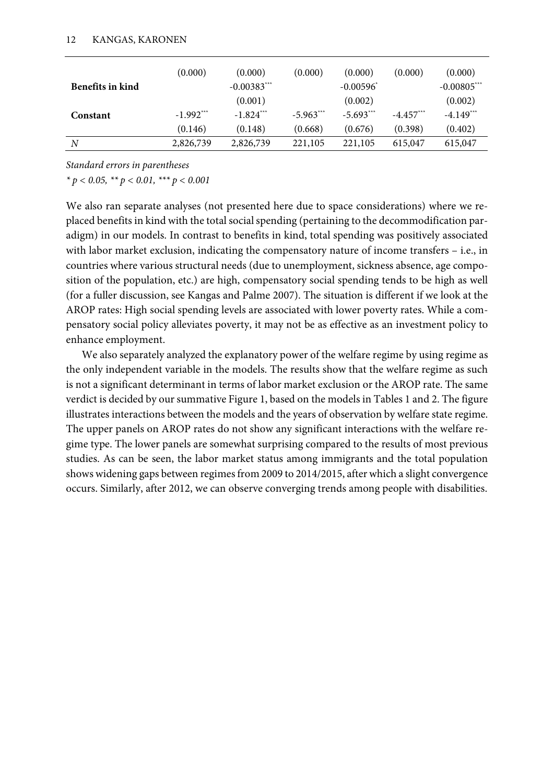|                  | (0.000)     | (0.000)       | (0.000)     | (0.000)                 | (0.000)     | (0.000)       |
|------------------|-------------|---------------|-------------|-------------------------|-------------|---------------|
| Benefits in kind |             | $-0.00383***$ |             | $-0.00596$ <sup>*</sup> |             | $-0.00805***$ |
|                  |             | (0.001)       |             | (0.002)                 |             | (0.002)       |
| Constant         | $-1.992***$ | $-1.824***$   | $-5.963***$ | $-5.693***$             | $-4.457***$ | $-4.149***$   |
|                  | (0.146)     | (0.148)       | (0.668)     | (0.676)                 | (0.398)     | (0.402)       |
| N                | 2,826,739   | 2,826,739     | 221,105     | 221,105                 | 615,047     | 615,047       |

*Standard errors in parentheses*

*\* p < 0.05, \*\* p < 0.01, \*\*\* p < 0.001*

We also ran separate analyses (not presented here due to space considerations) where we replaced benefits in kind with the total social spending (pertaining to the decommodification paradigm) in our models. In contrast to benefits in kind, total spending was positively associated with labor market exclusion, indicating the compensatory nature of income transfers – i.e., in countries where various structural needs (due to unemployment, sickness absence, age composition of the population, etc.) are high, compensatory social spending tends to be high as well (for a fuller discussion, see Kangas and Palme 2007). The situation is different if we look at the AROP rates: High social spending levels are associated with lower poverty rates. While a compensatory social policy alleviates poverty, it may not be as effective as an investment policy to enhance employment.

We also separately analyzed the explanatory power of the welfare regime by using regime as the only independent variable in the models. The results show that the welfare regime as such is not a significant determinant in terms of labor market exclusion or the AROP rate. The same verdict is decided by our summative Figure 1, based on the models in Tables 1 and 2. The figure illustrates interactions between the models and the years of observation by welfare state regime. The upper panels on AROP rates do not show any significant interactions with the welfare regime type. The lower panels are somewhat surprising compared to the results of most previous studies. As can be seen, the labor market status among immigrants and the total population shows widening gaps between regimes from 2009 to 2014/2015, after which a slight convergence occurs. Similarly, after 2012, we can observe converging trends among people with disabilities.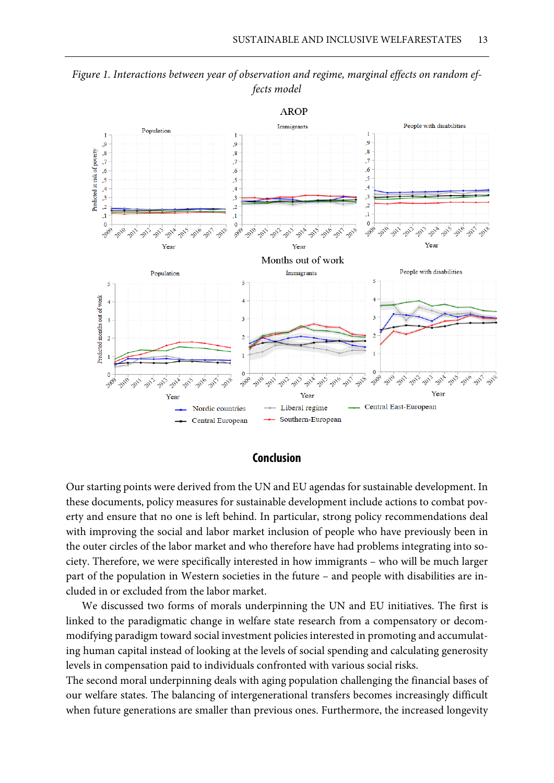

*Figure 1. Interactions between year of observation and regime, marginal effects on random effects model*

#### **Conclusion**

Our starting points were derived from the UN and EU agendas for sustainable development. In these documents, policy measures for sustainable development include actions to combat poverty and ensure that no one is left behind. In particular, strong policy recommendations deal with improving the social and labor market inclusion of people who have previously been in the outer circles of the labor market and who therefore have had problems integrating into society. Therefore, we were specifically interested in how immigrants – who will be much larger part of the population in Western societies in the future – and people with disabilities are included in or excluded from the labor market.

We discussed two forms of morals underpinning the UN and EU initiatives. The first is linked to the paradigmatic change in welfare state research from a compensatory or decommodifying paradigm toward social investment policies interested in promoting and accumulating human capital instead of looking at the levels of social spending and calculating generosity levels in compensation paid to individuals confronted with various social risks.

The second moral underpinning deals with aging population challenging the financial bases of our welfare states. The balancing of intergenerational transfers becomes increasingly difficult when future generations are smaller than previous ones. Furthermore, the increased longevity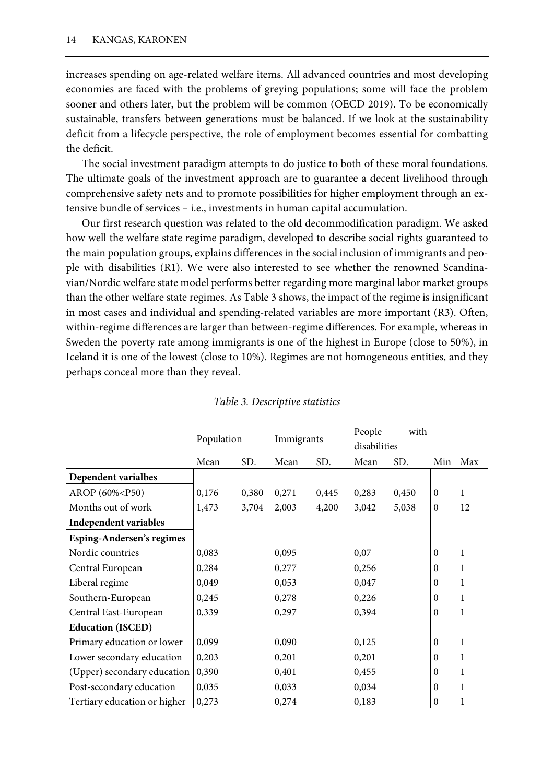increases spending on age-related welfare items. All advanced countries and most developing economies are faced with the problems of greying populations; some will face the problem sooner and others later, but the problem will be common (OECD 2019). To be economically sustainable, transfers between generations must be balanced. If we look at the sustainability deficit from a lifecycle perspective, the role of employment becomes essential for combatting the deficit.

The social investment paradigm attempts to do justice to both of these moral foundations. The ultimate goals of the investment approach are to guarantee a decent livelihood through comprehensive safety nets and to promote possibilities for higher employment through an extensive bundle of services – i.e., investments in human capital accumulation.

Our first research question was related to the old decommodification paradigm. We asked how well the welfare state regime paradigm, developed to describe social rights guaranteed to the main population groups, explains differences in the social inclusion of immigrants and people with disabilities (R1). We were also interested to see whether the renowned Scandinavian/Nordic welfare state model performs better regarding more marginal labor market groups than the other welfare state regimes. As Table 3 shows, the impact of the regime is insignificant in most cases and individual and spending-related variables are more important (R3). Often, within-regime differences are larger than between-regime differences. For example, whereas in Sweden the poverty rate among immigrants is one of the highest in Europe (close to 50%), in Iceland it is one of the lowest (close to 10%). Regimes are not homogeneous entities, and they perhaps conceal more than they reveal.

|                                                                                                                                                                   | Population |       | Immigrants |       | People<br>with<br>disabilities |       |                  |     |
|-------------------------------------------------------------------------------------------------------------------------------------------------------------------|------------|-------|------------|-------|--------------------------------|-------|------------------|-----|
|                                                                                                                                                                   | Mean       | SD.   | Mean       | SD.   | Mean                           | SD.   | Min              | Max |
| Dependent varialbes                                                                                                                                               |            |       |            |       |                                |       |                  |     |
| AROP (60% <p50)< td=""><td>0,176</td><td>0,380</td><td>0,271</td><td>0,445</td><td>0,283</td><td>0,450</td><td><math>\boldsymbol{0}</math></td><td>1</td></p50)<> | 0,176      | 0,380 | 0,271      | 0,445 | 0,283                          | 0,450 | $\boldsymbol{0}$ | 1   |
| Months out of work                                                                                                                                                | 1,473      | 3,704 | 2,003      | 4,200 | 3,042                          | 5,038 | $\boldsymbol{0}$ | 12  |
| Independent variables                                                                                                                                             |            |       |            |       |                                |       |                  |     |
| <b>Esping-Andersen's regimes</b>                                                                                                                                  |            |       |            |       |                                |       |                  |     |
| Nordic countries                                                                                                                                                  | 0,083      |       | 0,095      |       | 0,07                           |       | $\mathbf{0}$     | 1   |
| Central European                                                                                                                                                  | 0,284      |       | 0,277      |       | 0,256                          |       | $\mathbf{0}$     | 1   |
| Liberal regime                                                                                                                                                    | 0,049      |       | 0,053      |       | 0,047                          |       | $\mathbf{0}$     | 1   |
| Southern-European                                                                                                                                                 | 0,245      |       | 0,278      |       | 0,226                          |       | $\boldsymbol{0}$ | 1   |
| Central East-European                                                                                                                                             | 0,339      |       | 0,297      |       | 0,394                          |       | $\boldsymbol{0}$ | 1   |
| <b>Education (ISCED)</b>                                                                                                                                          |            |       |            |       |                                |       |                  |     |
| Primary education or lower                                                                                                                                        | 0,099      |       | 0,090      |       | 0,125                          |       | $\mathbf{0}$     | 1   |
| Lower secondary education                                                                                                                                         | 0,203      |       | 0,201      |       | 0,201                          |       | $\theta$         | 1   |
| (Upper) secondary education                                                                                                                                       | 0,390      |       | 0,401      |       | 0,455                          |       | $\theta$         | 1   |
| Post-secondary education                                                                                                                                          | 0,035      |       | 0,033      |       | 0,034                          |       | $\theta$         | 1   |
| Tertiary education or higher                                                                                                                                      | 0,273      |       | 0,274      |       | 0,183                          |       | $\boldsymbol{0}$ | 1   |

### *Table 3. Descriptive statistics*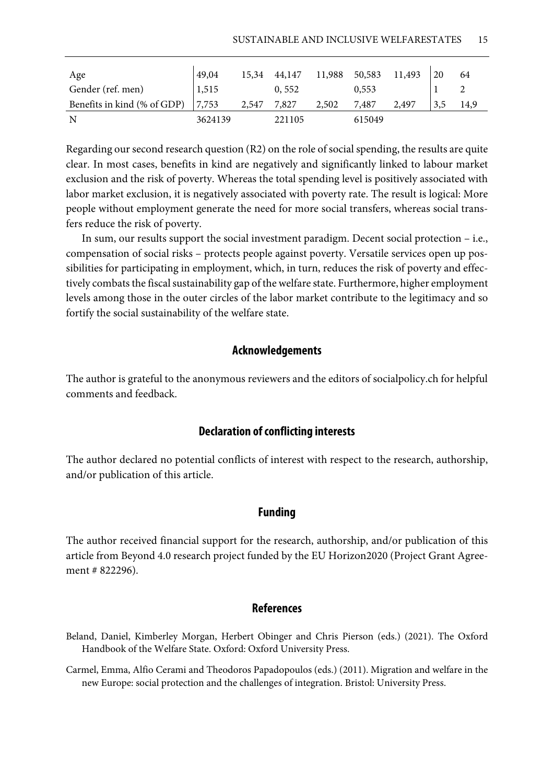| Age                         | 49,04   | 15,34 | 44,147 | 11,988 50,583 |        | 11,493 | 20  | 64   |
|-----------------------------|---------|-------|--------|---------------|--------|--------|-----|------|
| Gender (ref. men)           | 1,515   |       | 0,552  |               | 0,553  |        |     |      |
| Benefits in kind (% of GDP) | 7,753   | 2,547 | 7,827  | 2,502         | 7,487  | 2,497  | 3,5 | 14,9 |
| N                           | 3624139 |       | 221105 |               | 615049 |        |     |      |

Regarding our second research question (R2) on the role of social spending, the results are quite clear. In most cases, benefits in kind are negatively and significantly linked to labour market exclusion and the risk of poverty. Whereas the total spending level is positively associated with labor market exclusion, it is negatively associated with poverty rate. The result is logical: More people without employment generate the need for more social transfers, whereas social transfers reduce the risk of poverty.

In sum, our results support the social investment paradigm. Decent social protection – i.e., compensation of social risks – protects people against poverty. Versatile services open up possibilities for participating in employment, which, in turn, reduces the risk of poverty and effectively combats the fiscal sustainability gap of the welfare state. Furthermore, higher employment levels among those in the outer circles of the labor market contribute to the legitimacy and so fortify the social sustainability of the welfare state.

## **Acknowledgements**

The author is grateful to the anonymous reviewers and the editors of socialpolicy.ch for helpful comments and feedback.

## **Declaration of conflicting interests**

The author declared no potential conflicts of interest with respect to the research, authorship, and/or publication of this article.

## **Funding**

The author received financial support for the research, authorship, and/or publication of this article from Beyond 4.0 research project funded by the EU Horizon2020 (Project Grant Agreement # 822296).

## **References**

- Beland, Daniel, Kimberley Morgan, Herbert Obinger and Chris Pierson (eds.) (2021). The Oxford Handbook of the Welfare State. Oxford: Oxford University Press.
- Carmel, Emma, Alfio Cerami and Theodoros Papadopoulos (eds.) (2011). Migration and welfare in the new Europe: social protection and the challenges of integration. Bristol: University Press.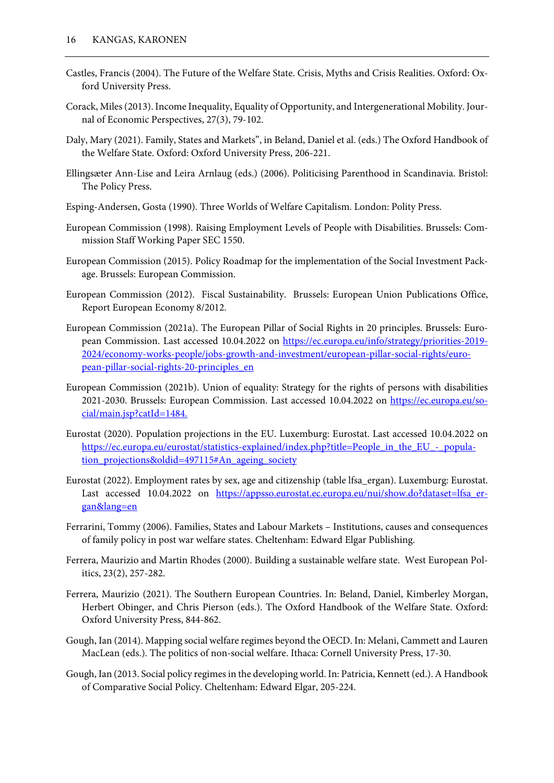- Castles, Francis (2004). The Future of the Welfare State. Crisis, Myths and Crisis Realities. Oxford: Oxford University Press.
- Corack, Miles (2013). Income Inequality, Equality of Opportunity, and Intergenerational Mobility. Journal of Economic Perspectives, 27(3), 79-102.
- Daly, Mary (2021). Family, States and Markets", in Beland, Daniel et al. (eds.) The Oxford Handbook of the Welfare State. Oxford: Oxford University Press, 206-221.
- Ellingsæter Ann-Lise and Leira Arnlaug (eds.) (2006). Politicising Parenthood in Scandinavia. Bristol: The Policy Press.
- Esping-Andersen, Gosta (1990). Three Worlds of Welfare Capitalism. London: Polity Press.
- European Commission (1998). Raising Employment Levels of People with Disabilities. Brussels: Commission Staff Working Paper SEC 1550.
- European Commission (2015). Policy Roadmap for the implementation of the Social Investment Package. Brussels: European Commission.
- European Commission (2012). Fiscal Sustainability. Brussels: European Union Publications Office, Report European Economy 8/2012.
- European Commission (2021a). The European Pillar of Social Rights in 20 principles. Brussels: European Commission. Last accessed 10.04.2022 on [https://ec.europa.eu/info/strategy/priorities-2019-](https://ec.europa.eu/info/strategy/priorities-2019-2024/economy-works-people/jobs-growth-and-investment/european-pillar-social-rights/european-pillar-social-rights-20-principles_en) [2024/economy-works-people/jobs-growth-and-investment/european-pillar-social-rights/euro](https://ec.europa.eu/info/strategy/priorities-2019-2024/economy-works-people/jobs-growth-and-investment/european-pillar-social-rights/european-pillar-social-rights-20-principles_en)[pean-pillar-social-rights-20-principles\\_en](https://ec.europa.eu/info/strategy/priorities-2019-2024/economy-works-people/jobs-growth-and-investment/european-pillar-social-rights/european-pillar-social-rights-20-principles_en)
- European Commission (2021b). Union of equality: Strategy for the rights of persons with disabilities 2021-2030. Brussels: European Commission. Last accessed 10.04.2022 on [https://ec.europa.eu/so](https://ec.europa.eu/social/main.jsp?catId=1484.)[cial/main.jsp?catId=1484.](https://ec.europa.eu/social/main.jsp?catId=1484.)
- Eurostat (2020). Population projections in the EU. Luxemburg: Eurostat. Last accessed 10.04.2022 on [https://ec.europa.eu/eurostat/statistics-explained/index.php?title=People\\_in\\_the\\_EU\\_-\\_popula](https://ec.europa.eu/eurostat/statistics-explained/index.php?title=People_in_the_EU_-_population_projections&oldid=497115%23An_ageing_society)[tion\\_projections&oldid=497115#An\\_ageing\\_society](https://ec.europa.eu/eurostat/statistics-explained/index.php?title=People_in_the_EU_-_population_projections&oldid=497115%23An_ageing_society)
- Eurostat (2022). Employment rates by sex, age and citizenship (table lfsa\_ergan). Luxemburg: Eurostat. Last accessed 10.04.2022 on https://appsso.eurostat.ec.europa.eu/nui/show.do?dataset=lfsa er[gan&lang=en](https://appsso.eurostat.ec.europa.eu/nui/show.do?dataset=lfsa_ergan&lang=en)
- Ferrarini, Tommy (2006). Families, States and Labour Markets Institutions, causes and consequences of family policy in post war welfare states. Cheltenham: Edward Elgar Publishing.
- Ferrera, Maurizio and Martin Rhodes (2000). Building a sustainable welfare state. West European Politics, 23(2), 257-282.
- Ferrera, Maurizio (2021). The Southern European Countries. In: Beland, Daniel, Kimberley Morgan, Herbert Obinger, and Chris Pierson (eds.). The Oxford Handbook of the Welfare State. Oxford: Oxford University Press, 844-862.
- Gough, Ian (2014). Mapping social welfare regimes beyond the OECD. In: Melani, Cammett and Lauren MacLean (eds.). The politics of non-social welfare. Ithaca: Cornell University Press, 17-30.
- Gough, Ian (2013. Social policy regimes in the developing world. In: Patricia, Kennett (ed.). A Handbook of Comparative Social Policy. Cheltenham: Edward Elgar, 205-224.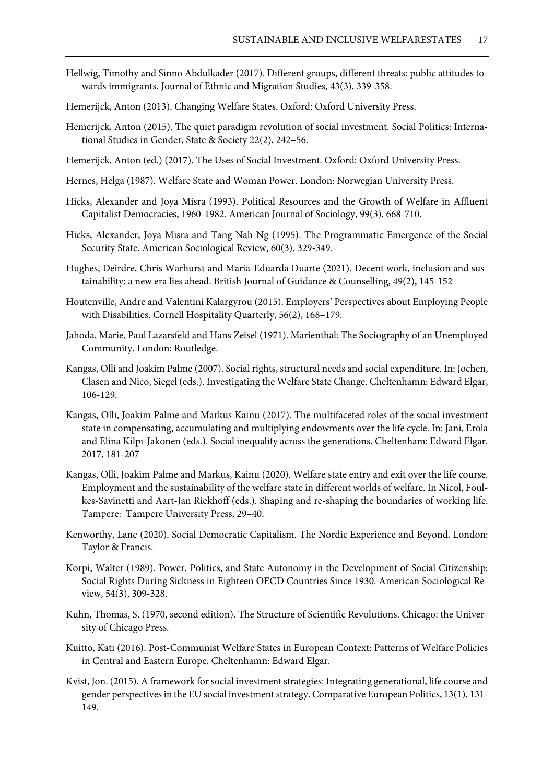- Hellwig, Timothy and Sinno Abdulkader (2017). Different groups, different threats: public attitudes towards immigrants. Journal of Ethnic and Migration Studies, 43(3), 339-358.
- Hemerijck, Anton (2013). Changing Welfare States. Oxford: Oxford University Press.
- Hemerijck, Anton (2015). The quiet paradigm revolution of social investment. Social Politics: International Studies in Gender, State & Society 22(2), 242–56.
- Hemerijck, Anton (ed.) (2017). The Uses of Social Investment. Oxford: Oxford University Press.
- Hernes, Helga (1987). Welfare State and Woman Power. London: Norwegian University Press.
- Hicks, Alexander and Joya Misra (1993). Political Resources and the Growth of Welfare in Affluent Capitalist Democracies, 1960-1982. American Journal of Sociology, 99(3), 668-710.
- Hicks, Alexander, Joya Misra and Tang Nah Ng (1995). The Programmatic Emergence of the Social Security State. American Sociological Review, 60(3), 329-349.
- Hughes, Deirdre, Chris Warhurst and Maria-Eduarda Duarte (2021). Decent work, inclusion and sustainability: a new era lies ahead. British Journal of Guidance & Counselling, 49(2), 145-152
- Houtenville, Andre and Valentini Kalargyrou (2015). Employers' Perspectives about Employing People with Disabilities. Cornell Hospitality Quarterly, 56(2), 168–179.
- Jahoda, Marie, Paul Lazarsfeld and Hans Zeisel (1971). Marienthal: The Sociography of an Unemployed Community. London: Routledge.
- Kangas, Olli and Joakim Palme (2007). Social rights, structural needs and social expenditure. In: Jochen, Clasen and Nico, Siegel (eds.). Investigating the Welfare State Change. Cheltenhamn: Edward Elgar, 106-129.
- Kangas, Olli, Joakim Palme and Markus Kainu (2017). The multifaceted roles of the social investment state in compensating, accumulating and multiplying endowments over the life cycle. In: Jani, Erola and Elina Kilpi-Jakonen (eds.). Social inequality across the generations. Cheltenham: Edward Elgar. 2017, 181-207
- Kangas, Olli, Joakim Palme and Markus, Kainu (2020). Welfare state entry and exit over the life course. Employment and the sustainability of the welfare state in different worlds of welfare. In Nicol, Foulkes-Savinetti and Aart-Jan Riekhoff (eds.). Shaping and re-shaping the boundaries of working life. Tampere: Tampere University Press, 29–40.
- Kenworthy, Lane (2020). Social Democratic Capitalism. The Nordic Experience and Beyond. London: Taylor & Francis.
- Korpi, Walter (1989). Power, Politics, and State Autonomy in the Development of Social Citizenship: Social Rights During Sickness in Eighteen OECD Countries Since 1930. American Sociological Review, 54(3), 309-328.
- Kuhn, Thomas, S. (1970, second edition). The Structure of Scientific Revolutions. Chicago: the University of Chicago Press.
- Kuitto, Kati (2016). Post-Communist Welfare States in European Context: Patterns of Welfare Policies in Central and Eastern Europe. Cheltenhamn: Edward Elgar.
- Kvist, Jon. (2015). A framework for social investment strategies: Integrating generational, life course and gender perspectives in the EU social investment strategy. Comparative European Politics, 13(1), 131- 149.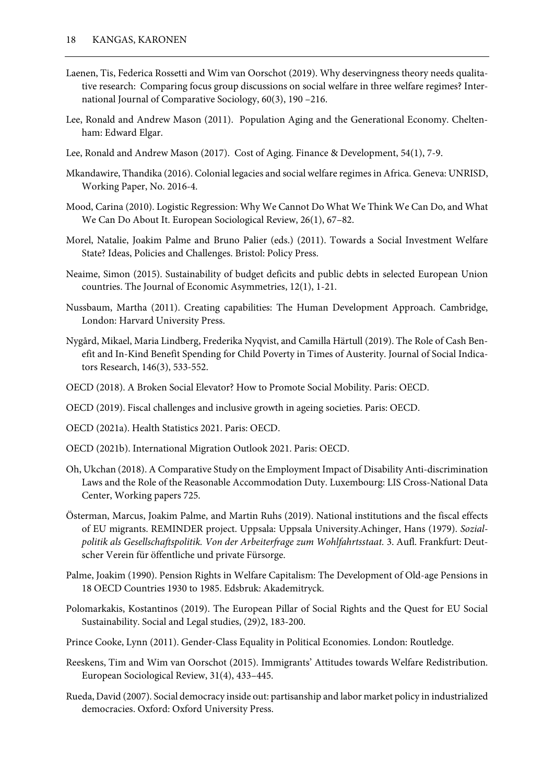- Laenen, Tis, Federica Rossetti and Wim van Oorschot (2019). Why deservingness theory needs qualitative research: Comparing focus group discussions on social welfare in three welfare regimes? International Journal of Comparative Sociology, 60(3), 190 –216.
- Lee, Ronald and Andrew Mason (2011). Population Aging and the Generational Economy. Cheltenham: Edward Elgar.
- Lee, Ronald and Andrew Mason (2017). Cost of Aging. Finance & Development, 54(1), 7-9.
- Mkandawire, Thandika (2016). Colonial legacies and social welfare regimes in Africa. Geneva: UNRISD, Working Paper, No. 2016-4.
- Mood, Carina (2010). Logistic Regression: Why We Cannot Do What We Think We Can Do, and What We Can Do About It. European Sociological Review, 26(1), 67–82.
- Morel, Natalie, Joakim Palme and Bruno Palier (eds.) (2011). Towards a Social Investment Welfare State? Ideas, Policies and Challenges. Bristol: Policy Press.
- Neaime, Simon (2015). Sustainability of budget deficits and public debts in selected European Union countries. The Journal of Economic Asymmetries, 12(1), 1-21.
- Nussbaum, Martha (2011). Creating capabilities: The Human Development Approach. Cambridge, London: Harvard University Press.
- Nygård, Mikael, Maria Lindberg, Frederika Nyqvist, and Camilla Härtull (2019). The Role of Cash Benefit and In-Kind Benefit Spending for Child Poverty in Times of Austerity. Journal of Social Indicators Research, 146(3), 533-552.
- OECD (2018). A Broken Social Elevator? How to Promote Social Mobility. Paris: OECD.
- OECD (2019). Fiscal challenges and inclusive growth in ageing societies. Paris: OECD.
- OECD (2021a). Health Statistics 2021. Paris: OECD.
- OECD (2021b). International Migration Outlook 2021. Paris: OECD.
- Oh, Ukchan (2018). A Comparative Study on the Employment Impact of Disability Anti-discrimination Laws and the Role of the Reasonable Accommodation Duty. Luxembourg: LIS Cross-National Data Center, Working papers 725.
- Österman, Marcus, Joakim Palme, and Martin Ruhs (2019). National institutions and the fiscal effects of EU migrants. REMINDER project. Uppsala: Uppsala University.Achinger, Hans (1979). *Sozialpolitik als Gesellschaftspolitik. Von der Arbeiterfrage zum Wohlfahrtsstaat.* 3. Aufl. Frankfurt: Deutscher Verein für öffentliche und private Fürsorge.
- Palme, Joakim (1990). Pension Rights in Welfare Capitalism: The Development of Old-age Pensions in 18 OECD Countries 1930 to 1985. Edsbruk: Akademitryck.
- Polomarkakis, Kostantinos (2019). The European Pillar of Social Rights and the Quest for EU Social Sustainability. Social and Legal studies, (29)2, 183-200.
- Prince Cooke, Lynn (2011). Gender-Class Equality in Political Economies. London: Routledge.
- Reeskens, Tim and Wim van Oorschot (2015). Immigrants' Attitudes towards Welfare Redistribution. European Sociological Review, 31(4), 433–445.
- Rueda, David (2007). Social democracy inside out: partisanship and labor market policy in industrialized democracies. Oxford: Oxford University Press.